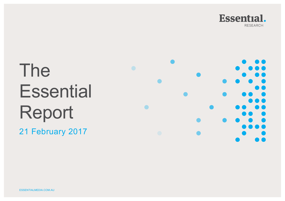

# The **Essential** Report

21 February 2017

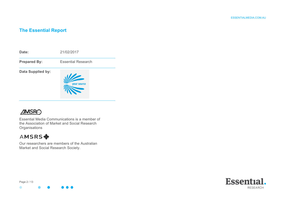#### **The Essential Report**



## **AMSRO**

Essential Media Communications is a member of the Association of Market and Social Research **Organisations** 

# AMSRS <

Our researchers are members of the Australian Market and Social Research Society.

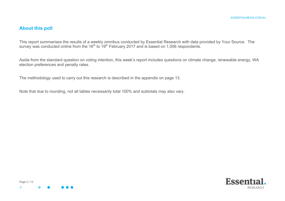#### **About this poll**

This report summarises the results of a weekly omnibus conducted by Essential Research with data provided by Your Source. The survey was conducted online from the 16<sup>th</sup> to 19<sup>th</sup> February 2017 and is based on 1,006 respondents.

Aside from the standard question on voting intention, this week's report includes questions on climate change, renewable energy, WA election preferences and penalty rates.

The methodology used to carry out this research is described in the appendix on page 13.

Note that due to rounding, not all tables necessarily total 100% and subtotals may also vary.



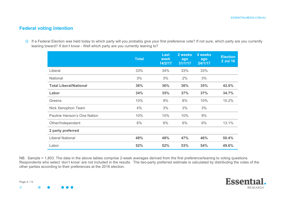#### **Federal voting intention**

Q If a Federal Election was held today to which party will you probably give your first preference vote? If not sure, which party are you currently leaning toward? If don't know - Well which party are you currently leaning to?

|                               | <b>Total</b> | <b>Last</b><br>week<br>14/2/17 | 2 weeks<br>ago<br>31/1/17 | 4 weeks<br>ago<br>24/1/17 | <b>Election</b><br><b>2 Jul 16</b> |
|-------------------------------|--------------|--------------------------------|---------------------------|---------------------------|------------------------------------|
| Liberal                       | 33%          | 34%                            | 33%                       | 33%                       |                                    |
| National                      | 3%           | 3%                             | 2%                        | 3%                        |                                    |
| <b>Total Liberal/National</b> | 36%          | 36%                            | 36%                       | 35%                       | 42.0%                              |
| Labor                         | 34%          | 35%                            | 37%                       | 37%                       | 34.7%                              |
| Greens                        | 10%          | 9%                             | 8%                        | 10%                       | 10.2%                              |
| Nick Xenophon Team            | 4%           | 3%                             | 3%                        | 3%                        |                                    |
| Pauline Hanson's One Nation   | 10%          | 10%                            | 10%                       | 9%                        |                                    |
| Other/Independent             | 6%           | 6%                             | 6%                        | 6%                        | 13.1%                              |
| 2 party preferred             |              |                                |                           |                           |                                    |
| <b>Liberal National</b>       | 48%          | 48%                            | 47%                       | 46%                       | 50.4%                              |
| Labor                         | 52%          | 52%                            | 53%                       | 54%                       | 49.6%                              |

NB. Sample = 1,803. The data in the above tables comprise 2-week averages derived from the first preference/leaning to voting questions. Respondents who select 'don't know' are not included in the results. The two-party preferred estimate is calculated by distributing the votes of the other parties according to their preferences at the 2016 election.

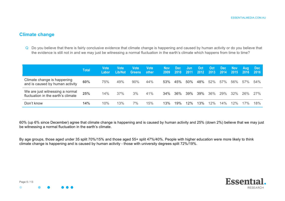#### **Climate change**

Q Do you believe that there is fairly conclusive evidence that climate change is happening and caused by human activity or do you believe that the evidence is still not in and we may just be witnessing a normal fluctuation in the earth's climate which happens from time to time?

|                                                                       | <b>Total</b> | Votel<br>Labor | Vote<br>Lib/Nat | Vote<br><b>Greens</b> | <b>Vote</b><br>other | <b>Nov</b><br>2009 | Dec:<br>$-2010$ | Jun<br>2011 | /Oct<br>2012 | <b>Oct</b><br>2013 | <b>Dec</b><br>2014 | <b>Nov</b><br>2015 | <b>Aug</b><br>2016 | Dec:<br>2016 |
|-----------------------------------------------------------------------|--------------|----------------|-----------------|-----------------------|----------------------|--------------------|-----------------|-------------|--------------|--------------------|--------------------|--------------------|--------------------|--------------|
| Climate change is happening<br>and is caused by human activity        | 60%          | 75%            | 49%             | 90%                   | 44%                  | 53%                | 45%             | $50\%$      | 48%          | 52%                | 57%                | 56%                | 57%                | 54%          |
| We are just witnessing a normal<br>fluctuation in the earth's climate | 25%          | 14%            | 37%             | 3%                    | 41%                  | 34%                | 36%             | 39%         | 39%          | 36%                | 29%                | 32%                | 26%                | 27%          |
| Don't know                                                            | 14%          | 10%            | 13%             | 7%                    | 15%                  | 13%                | 19%             | 12%         | 13%          | 12%                | 14%                | 12%                | 17%                | 18%          |

60% (up 6% since December) agree that climate change is happening and is caused by human activity and 25% (down 2%) believe that we may just be witnessing a normal fluctuation in the earth's climate.

By age groups, those aged under 35 split 70%/15% and those aged 55+ split 47%/40%. People with higher education were more likely to think climate change is happening and is caused by human activity - those with university degrees split 72%/19%.



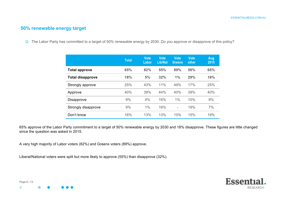#### **50% renewable energy target**

Q The Labor Party has committed to a target of 50% renewable energy by 2030. Do you approve or disapprove of this policy?

|                         | <b>Total</b> | <b>Vote</b><br>Labor | <b>Vote</b><br><b>Lib/Nat</b> | <b>Vote</b><br><b>Greens</b> | <b>Vote</b><br>other | Aug<br>2015 |
|-------------------------|--------------|----------------------|-------------------------------|------------------------------|----------------------|-------------|
| <b>Total approve</b>    | 65%          | 82%                  | 55%                           | 89%                          | 56%                  | 65%         |
| <b>Total disapprove</b> | 18%          | 5%                   | 32%                           | 1%                           | 29%                  | 16%         |
| Strongly approve        | 25%          | 43%                  | 11%                           | 49%                          | 17%                  | 25%         |
| Approve                 | 40%          | 39%                  | 44%                           | 40%                          | 39%                  | 40%         |
| <b>Disapprove</b>       | 9%           | 4%                   | 16%                           | $1\%$                        | 10%                  | 9%          |
| Strongly disapprove     | 9%           | 1%                   | 16%                           | $\overline{\phantom{a}}$     | 19%                  | 7%          |
| Don't know              | 16%          | 13%                  | 13%                           | 10%                          | 15%                  | 19%         |

65% approve of the Labor Party commitment to a target of 50% renewable energy by 2030 and 18% disapprove. These figures are little changed since the question was asked in 2015.

A very high majority of Labor voters (82%) and Greens voters (89%) approve.

Liberal/National voters were split but more likely to approve (55%) than disapprove (32%).





 $\bullet$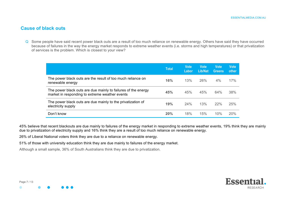#### **Cause of black outs**

Q Some people have said recent power black outs are a result of too much reliance on renewable energy. Others have said they have occurred because of failures in the way the energy market responds to extreme weather events (i.e. storms and high temperatures) or that privatization of services is the problem. Which is closest to your view?

|                                                                                                                 | <b>Total</b> | <b>Vote</b><br>Labor | <b>Vote</b><br>Lib/Nat | <b>Vote</b><br><b>Greens</b> | <b>Vote</b><br>other |
|-----------------------------------------------------------------------------------------------------------------|--------------|----------------------|------------------------|------------------------------|----------------------|
| The power black outs are the result of too much reliance on<br>renewable energy                                 | 16%          | 13%                  | 26%                    | $4\%$                        | 17%                  |
| The power black outs are due mainly to failures of the energy<br>market in responding to extreme weather events | 45%          | 45%                  | 45%                    | 64%                          | 38%                  |
| The power black outs are due mainly to the privatization of<br>electricity supply                               | 19%          | 24%                  | 13%                    | 22%                          | 25%                  |
| Don't know                                                                                                      | 20%          | 18%                  | 15%                    | 10%                          | 20%                  |

45% believe that recent blackouts are due mainly to failures of the energy market in responding to extreme weather events, 19% think they are mainly due to privatization of electricity supply and 16% think they are a result of too much reliance on renewable energy.

26% of Liberal National voters think they are due to a reliance on renewable energy.

51% of those with university education think they are due mainly to failures of the energy market.

Although a small sample, 36% of South Australians think they are due to privatization.



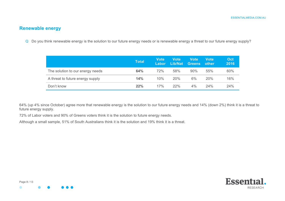## **Renewable energy**

Q Do you think renewable energy is the solution to our future energy needs or is renewable energy a threat to our future energy supply?

|                                  | Total | Vote<br>Labor | <b>Vote</b><br>Lib/Nat | Vote<br><b>Greens</b> | Vote<br>other | <b>Oct</b><br>2016 |
|----------------------------------|-------|---------------|------------------------|-----------------------|---------------|--------------------|
| The solution to our energy needs | 64%   | 72%           | 58%                    | 90%                   | 55%           | 60%                |
| A threat to future energy supply | 14%   | 10%           | 20%                    | 6%                    | 20%           | 16%                |
| Don't know                       | 22%   | 17%           | 22%                    | 4%                    | 24%           | 24%                |

64% (up 4% since October) agree more that renewable energy is the solution to our future energy needs and 14% (down 2%) think it is a threat to future energy supply.

72% of Labor voters and 90% of Greens voters think it is the solution to future energy needs.

Although a small sample, 51% of South Australians think it is the solution and 19% think it is a threat.



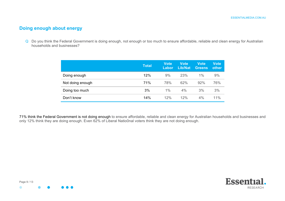#### **Doing enough about energy**

Q Do you think the Federal Government is doing enough, not enough or too much to ensure affordable, reliable and clean energy for Australian households and businesses?

|                  | <b>Total</b> | <b>Vote</b><br>Labor | <b>Vote</b><br>Lib/Nat | Vote<br><b>Greens</b> | Vote<br>other |
|------------------|--------------|----------------------|------------------------|-----------------------|---------------|
| Doing enough     | 12%          | 9%                   | 23%                    | $1\%$                 | 9%            |
| Not doing enough | 71%          | 78%                  | 62%                    | 92%                   | 76%           |
| Doing too much   | 3%           | $1\%$                | 4%                     | 3%                    | 3%            |
| Don't know       | 14%          | 12%                  | 12%                    | 4%                    | 11%           |

71% think the Federal Government is not doing enough to ensure affordable, reliable and clean energy for Australian households and businesses and only 12% think they are doing enough. Even 62% of Liberal Natio0nal voters think they are not doing enough.



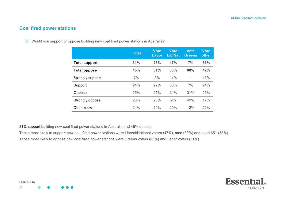#### **Coal fired power stations**

Q Would you support or oppose building new coal fired power stations in Australia?

|                      | <b>Total</b> | Vote<br>Labor | <b>Vote</b><br><b>Lib/Nat</b> | <b>Vote</b><br><b>Greens</b> | <b>Vote</b><br>other |
|----------------------|--------------|---------------|-------------------------------|------------------------------|----------------------|
| <b>Total support</b> | 31%          | 25%           | 47%                           | 7%                           | 36%                  |
| <b>Total oppose</b>  | 45%          | 51%           | 33%                           | 80%                          | 42%                  |
| Strongly support     | 7%           | 3%            | 14%                           | $\overline{a}$               | 12%                  |
| Support              | 24%          | 22%           | 33%                           | 7%                           | 24%                  |
| Oppose               | 25%          | 25%           | 24%                           | 31%                          | 25%                  |
| Strongly oppose      | 20%          | 26%           | 9%                            | 49%                          | 17%                  |
| Don't know           | 24%          | 24%           | 20%                           | 12%                          | 22%                  |

31% support building new coal fired power stations in Australia and 45% oppose.

Those most likely to support new coal fired power stations were Liberal/National voters (47%), men (39%) and aged 65+ (53%). Those most likely to oppose new coal fired power stations were Greens voters (80%) and Labor voters (51%).

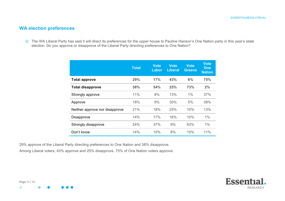#### **WA election preferences**

Q The WA Liberal Party has said it will direct its preferences for the upper house to Pauline Hanson's One Nation party in this year's state election. Do you approve or disapprove of the Liberal Party directing preferences to One Nation?

|                                | <b>Total</b> | <b>Vote</b><br>Labor | Vote<br><b>Liberal</b> | <b>Vote</b><br><b>Greens</b> | <b>Vote</b><br>One<br><b>Nation</b> |
|--------------------------------|--------------|----------------------|------------------------|------------------------------|-------------------------------------|
| <b>Total approve</b>           | 29%          | 17%                  | 43%                    | 6%                           | 75%                                 |
| <b>Total disapprove</b>        | 38%          | 54%                  | 25%                    | 73%                          | 2%                                  |
| Strongly approve               | 11%          | 8%                   | 13%                    | 1%                           | 37%                                 |
| Approve                        | 18%          | 9%                   | 30%                    | 5%                           | 38%                                 |
| Neither approve nor disapprove | 21%          | 18%                  | 25%                    | 10%                          | 13%                                 |
| <b>Disapprove</b>              | 14%          | 17%                  | 16%                    | 10%                          | 1%                                  |
| Strongly disapprove            | 24%          | 37%                  | 9%                     | 63%                          | 1%                                  |
| Don't know                     | 14%          | 10%                  | 8%                     | 10%                          | 11%                                 |

29% approve of the Liberal Party directing preferences to One Nation and 38% disapprove.

Among Liberal voters, 43% approve and 25% disapprove. 75% of One Nation voters approve.

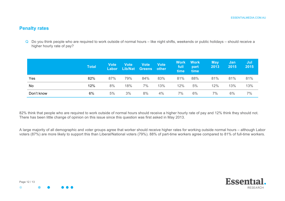#### **Penalty rates**

Q Do you think people who are required to work outside of normal hours – like night shifts, weekends or public holidays – should receive a higher hourly rate of pay?

|            | <b>Total</b> | <b>Vote</b><br><b>Labor</b> | <b>Vote</b><br>Lib/Nat | <b>Vote</b><br>Greens other | <b>Vote</b> | <b>Work</b><br>full<br>time | <b>Work</b><br>part<br>time | <b>May</b><br>2013 | Jan<br>2015 | Jul<br>2015 |
|------------|--------------|-----------------------------|------------------------|-----------------------------|-------------|-----------------------------|-----------------------------|--------------------|-------------|-------------|
| Yes        | 82%          | 87%                         | 79%                    | 84%                         | 83%         | 81%                         | 88%                         | 81%                | 81%         | 81%         |
| <b>No</b>  | 12%          | 8%                          | 18%                    | 7%                          | 13%         | 12%                         | 5%                          | 12%                | 13%         | 13%         |
| Don't know | 6%           | 5%                          | 3%                     | 8%                          | 4%          | 7%                          | 6%                          | 7%                 | 6%          | 7%          |

82% think that people who are required to work outside of normal hours should receive a higher hourly rate of pay and 12% think they should not. There has been little change of opinion on this issue since this question was first asked in May 2013.

A large majority of all demographic and voter groups agree that worker should receive higher rates for working outside normal hours – although Labor voters (87%) are more likely to support this than Liberal/National voters (79%). 88% of part-time workers agree compared to 81% of full-time workers.